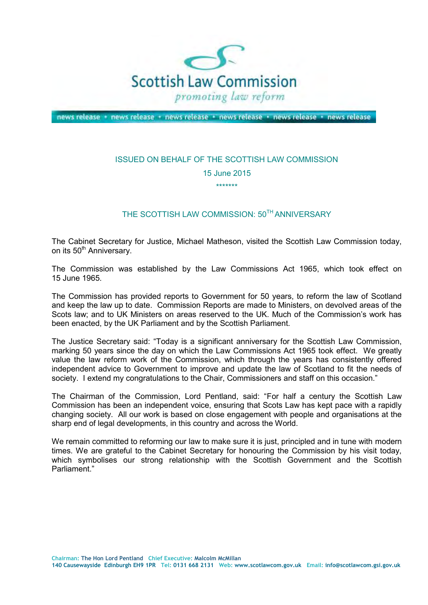

news release + news release + news release + news release + news release + news release

## ISSUED ON BEHALF OF THE SCOTTISH LAW COMMISSION 15 June 2015

\*\*\*\*\*\*\*

## THE SCOTTISH LAW COMMISSION: 50<sup>TH</sup> ANNIVERSARY

 The Cabinet Secretary for Justice, Michael Matheson, visited the Scottish Law Commission today, on its 50<sup>th</sup> Anniversary.

 The Commission was established by the Law Commissions Act 1965, which took effect on 15 June 1965.

 The Commission has provided reports to Government for 50 years, to reform the law of Scotland and keep the law up to date. Commission Reports are made to Ministers, on devolved areas of the Scots law; and to UK Ministers on areas reserved to the UK. Much of the Commission's work has been enacted, by the UK Parliament and by the Scottish Parliament.

 The Justice Secretary said: "Today is a significant anniversary for the Scottish Law Commission, marking 50 years since the day on which the Law Commissions Act 1965 took effect. We greatly value the law reform work of the Commission, which through the years has consistently offered independent advice to Government to improve and update the law of Scotland to fit the needs of society. I extend my congratulations to the Chair, Commissioners and staff on this occasion."

 The Chairman of the Commission, Lord Pentland, said: "For half a century the Scottish Law Commission has been an independent voice, ensuring that Scots Law has kept pace with a rapidly changing society. All our work is based on close engagement with people and organisations at the sharp end of legal developments, in this country and across the World.

 We remain committed to reforming our law to make sure it is just, principled and in tune with modern times. We are grateful to the Cabinet Secretary for honouring the Commission by his visit today, which symbolises our strong relationship with the Scottish Government and the Scottish Parliament."